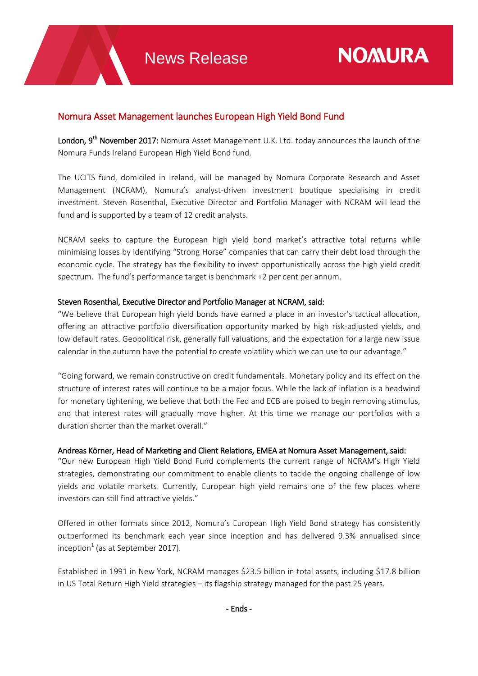## Nomura Asset Management launches European High Yield Bond Fund

London, 9<sup>th</sup> November 2017: Nomura Asset Management U.K. Ltd. today announces the launch of the Nomura Funds Ireland European High Yield Bond fund.

The UCITS fund, domiciled in Ireland, will be managed by Nomura Corporate Research and Asset Management (NCRAM), Nomura's analyst-driven investment boutique specialising in credit investment. Steven Rosenthal, Executive Director and Portfolio Manager with NCRAM will lead the fund and is supported by a team of 12 credit analysts.

NCRAM seeks to capture the European high yield bond market's attractive total returns while minimising losses by identifying "Strong Horse" companies that can carry their debt load through the economic cycle. The strategy has the flexibility to invest opportunistically across the high yield credit spectrum. The fund's performance target is benchmark +2 per cent per annum.

## Steven Rosenthal, Executive Director and Portfolio Manager at NCRAM, said:

"We believe that European high yield bonds have earned a place in an investor's tactical allocation, offering an attractive portfolio diversification opportunity marked by high risk-adjusted yields, and low default rates. Geopolitical risk, generally full valuations, and the expectation for a large new issue calendar in the autumn have the potential to create volatility which we can use to our advantage."

"Going forward, we remain constructive on credit fundamentals. Monetary policy and its effect on the structure of interest rates will continue to be a major focus. While the lack of inflation is a headwind for monetary tightening, we believe that both the Fed and ECB are poised to begin removing stimulus, and that interest rates will gradually move higher. At this time we manage our portfolios with a duration shorter than the market overall."

## Andreas Körner, Head of Marketing and Client Relations, EMEA at Nomura Asset Management, said:

"Our new European High Yield Bond Fund complements the current range of NCRAM's High Yield strategies, demonstrating our commitment to enable clients to tackle the ongoing challenge of low yields and volatile markets. Currently, European high yield remains one of the few places where investors can still find attractive yields."

Offered in other formats since 2012, Nomura's European High Yield Bond strategy has consistently outperformed its benchmark each year since inception and has delivered 9.3% annualised since inception $1$  (as at September 2017).

Established in 1991 in New York, NCRAM manages \$23.5 billion in total assets, including \$17.8 billion in US Total Return High Yield strategies – its flagship strategy managed for the past 25 years.